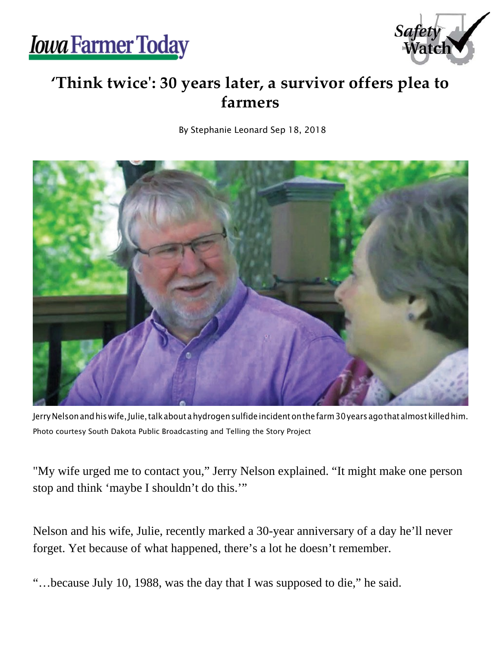



## **'Think twice': 30 years later, a survivor offers plea to farmers**

By Stephanie Leonard Sep 18, 2018



Jerry Nelson and his wife, Julie, talk about a hydrogen sulfide incident on the farm 30 years agothat almost killed him. Photo courtesy South Dakota Public Broadcasting and Telling the Story Project

"My wife urged me to contact you," Jerry Nelson explained. "It might make one person stop and think 'maybe I shouldn't do this.'"

Nelson and his wife, Julie, recently marked a 30-year anniversary of a day he'll never forget. Yet because of what happened, there's a lot he doesn't remember.

"…because July 10, 1988, was the day that I was supposed to die," he said.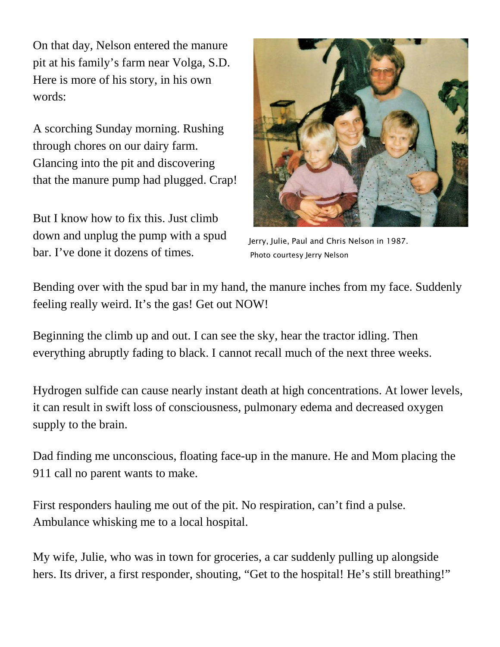On that day, Nelson entered the manure pit at his family's farm near Volga, S.D. Here is more of his story, in his own words:

A scorching Sunday morning. Rushing through chores on our dairy farm. Glancing into the pit and discovering that the manure pump had plugged. Crap!

But I know how to fix this. Just climb down and unplug the pump with a spud bar. I've done it dozens of times.



Jerry, Julie, Paul and Chris Nelson in 1987. Photo courtesy Jerry Nelson

Bending over with the spud bar in my hand, the manure inches from my face. Suddenly feeling really weird. It's the gas! Get out NOW!

Beginning the climb up and out. I can see the sky, hear the tractor idling. Then everything abruptly fading to black. I cannot recall much of the next three weeks.

Hydrogen sulfide can cause nearly instant death at high concentrations. At lower levels, it can result in swift loss of consciousness, pulmonary edema and decreased oxygen supply to the brain.

Dad finding me unconscious, floating face-up in the manure. He and Mom placing the 911 call no parent wants to make.

First responders hauling me out of the pit. No respiration, can't find a pulse. Ambulance whisking me to a local hospital.

My wife, Julie, who was in town for groceries, a car suddenly pulling up alongside hers. Its driver, a first responder, shouting, "Get to the hospital! He's still breathing!"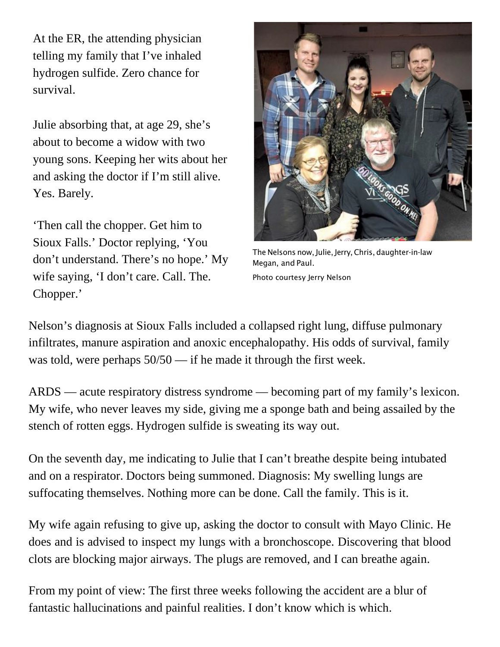At the ER, the attending physician telling my family that I've inhaled hydrogen sulfide. Zero chance for survival.

Julie absorbing that, at age 29, she's about to become a widow with two young sons. Keeping her wits about her and asking the doctor if I'm still alive. Yes. Barely.

'Then call the chopper. Get him to Sioux Falls.' Doctor replying, 'You don't understand. There's no hope.' My wife saying, 'I don't care. Call. The. Chopper.'



The Nelsons now, Julie, Jerry,Chris, daughter-in-law Megan, and Paul. Photo courtesy Jerry Nelson

Nelson's diagnosis at Sioux Falls included a collapsed right lung, diffuse pulmonary infiltrates, manure aspiration and anoxic encephalopathy. His odds of survival, family was told, were perhaps  $50/50$  — if he made it through the first week.

ARDS — acute respiratory distress syndrome — becoming part of my family's lexicon. My wife, who never leaves my side, giving me a sponge bath and being assailed by the stench of rotten eggs. Hydrogen sulfide is sweating its way out.

On the seventh day, me indicating to Julie that I can't breathe despite being intubated and on a respirator. Doctors being summoned. Diagnosis: My swelling lungs are suffocating themselves. Nothing more can be done. Call the family. This is it.

My wife again refusing to give up, asking the doctor to consult with Mayo Clinic. He does and is advised to inspect my lungs with a bronchoscope. Discovering that blood clots are blocking major airways. The plugs are removed, and I can breathe again.

From my point of view: The first three weeks following the accident are a blur of fantastic hallucinations and painful realities. I don't know which is which.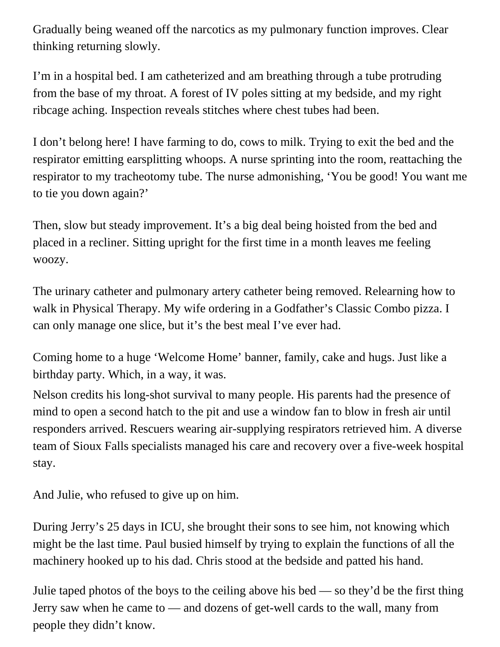Gradually being weaned off the narcotics as my pulmonary function improves. Clear thinking returning slowly.

I'm in a hospital bed. I am catheterized and am breathing through a tube protruding from the base of my throat. A forest of IV poles sitting at my bedside, and my right ribcage aching. Inspection reveals stitches where chest tubes had been.

I don't belong here! I have farming to do, cows to milk. Trying to exit the bed and the respirator emitting earsplitting whoops. A nurse sprinting into the room, reattaching the respirator to my tracheotomy tube. The nurse admonishing, 'You be good! You want me to tie you down again?'

Then, slow but steady improvement. It's a big deal being hoisted from the bed and placed in a recliner. Sitting upright for the first time in a month leaves me feeling woozy.

The urinary catheter and pulmonary artery catheter being removed. Relearning how to walk in Physical Therapy. My wife ordering in a Godfather's Classic Combo pizza. I can only manage one slice, but it's the best meal I've ever had.

Coming home to a huge 'Welcome Home' banner, family, cake and hugs. Just like a birthday party. Which, in a way, it was.

Nelson credits his long-shot survival to many people. His parents had the presence of mind to open a second hatch to the pit and use a window fan to blow in fresh air until responders arrived. Rescuers wearing air-supplying respirators retrieved him. A diverse team of Sioux Falls specialists managed his care and recovery over a five-week hospital stay.

And Julie, who refused to give up on him.

During Jerry's 25 days in ICU, she brought their sons to see him, not knowing which might be the last time. Paul busied himself by trying to explain the functions of all the machinery hooked up to his dad. Chris stood at the bedside and patted his hand.

Julie taped photos of the boys to the ceiling above his bed — so they'd be the first thing Jerry saw when he came to — and dozens of get-well cards to the wall, many from people they didn't know.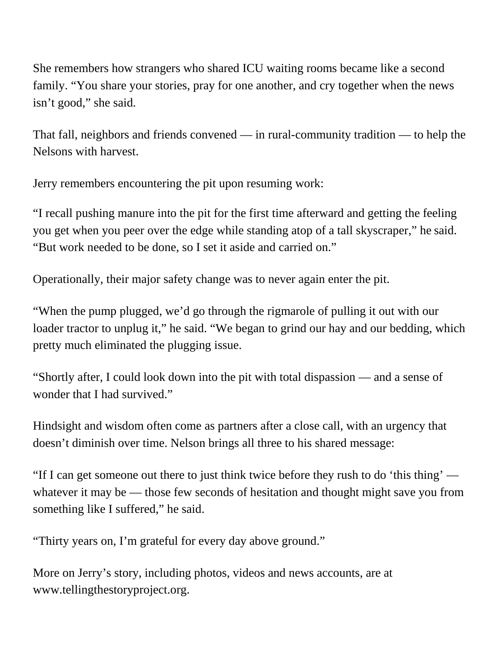She remembers how strangers who shared ICU waiting rooms became like a second family. "You share your stories, pray for one another, and cry together when the news isn't good," she said.

That fall, neighbors and friends convened — in rural-community tradition — to help the Nelsons with harvest.

Jerry remembers encountering the pit upon resuming work:

"I recall pushing manure into the pit for the first time afterward and getting the feeling you get when you peer over the edge while standing atop of a tall skyscraper," he said. "But work needed to be done, so I set it aside and carried on."

Operationally, their major safety change was to never again enter the pit.

"When the pump plugged, we'd go through the rigmarole of pulling it out with our loader tractor to unplug it," he said. "We began to grind our hay and our bedding, which pretty much eliminated the plugging issue.

"Shortly after, I could look down into the pit with total dispassion — and a sense of wonder that I had survived."

Hindsight and wisdom often come as partners after a close call, with an urgency that doesn't diminish over time. Nelson brings all three to his shared message:

"If I can get someone out there to just think twice before they rush to do 'this thing' whatever it may be — those few seconds of hesitation and thought might save you from something like I suffered," he said.

"Thirty years on, I'm grateful for every day above ground."

More on Jerry's story, including photos, videos and news accounts, are at [www.tellingthestoryproject.org](http://www.tellingthestoryproject.org/).